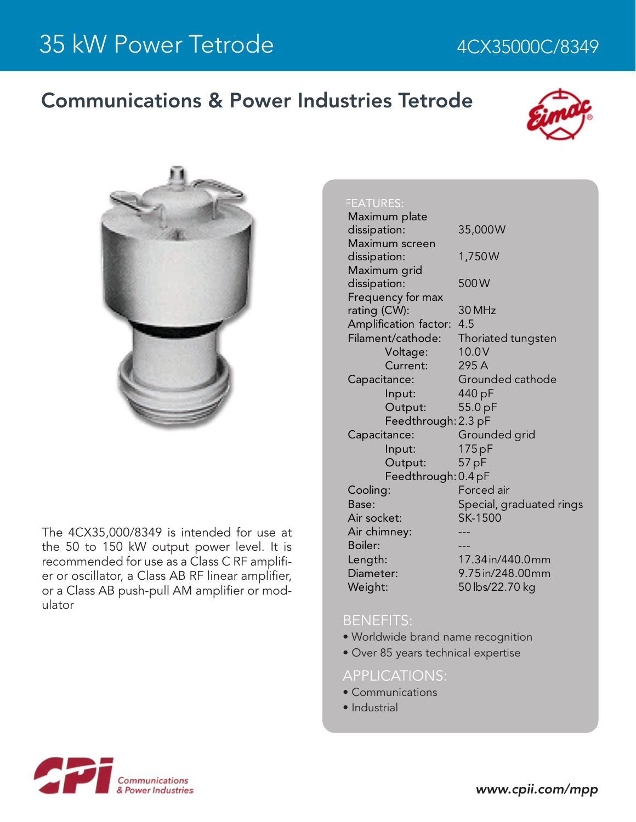## Communications & Power Industries Tetrode





The 4CX35,000/8349 is intended for use at the 50 to 150 kW output power level. It is recommended for use as a Class C RF amplifier or oscillator, a Class AB RF linear amplifier, or a Class AB push-pull AM amplifier or modulator

#### FEATURES:

| 35,000W                  |
|--------------------------|
|                          |
| 1,750W                   |
|                          |
| 500W                     |
|                          |
| 30 MHz                   |
| 4.5                      |
| Thoriated tungsten       |
| 10.0V                    |
| 295 A                    |
| Grounded cathode         |
| 440 pF                   |
| 55.0 pF                  |
| Feedthrough: 2.3 pF      |
| Grounded grid            |
| 175 pF                   |
| 57 pF                    |
| Feedthrough: 0.4 pF      |
| Forced air               |
| Special, graduated rings |
| SK-1500                  |
|                          |
|                          |
| 17.34 in/440.0mm         |
| 9.75 in/248.00mm         |
| 50 lbs/22.70 kg          |
|                          |

#### BENEFITS:

- Worldwide brand name recognition
- Over 85 years technical expertise

### APPLICATIONS:

- Communications
- Industrial